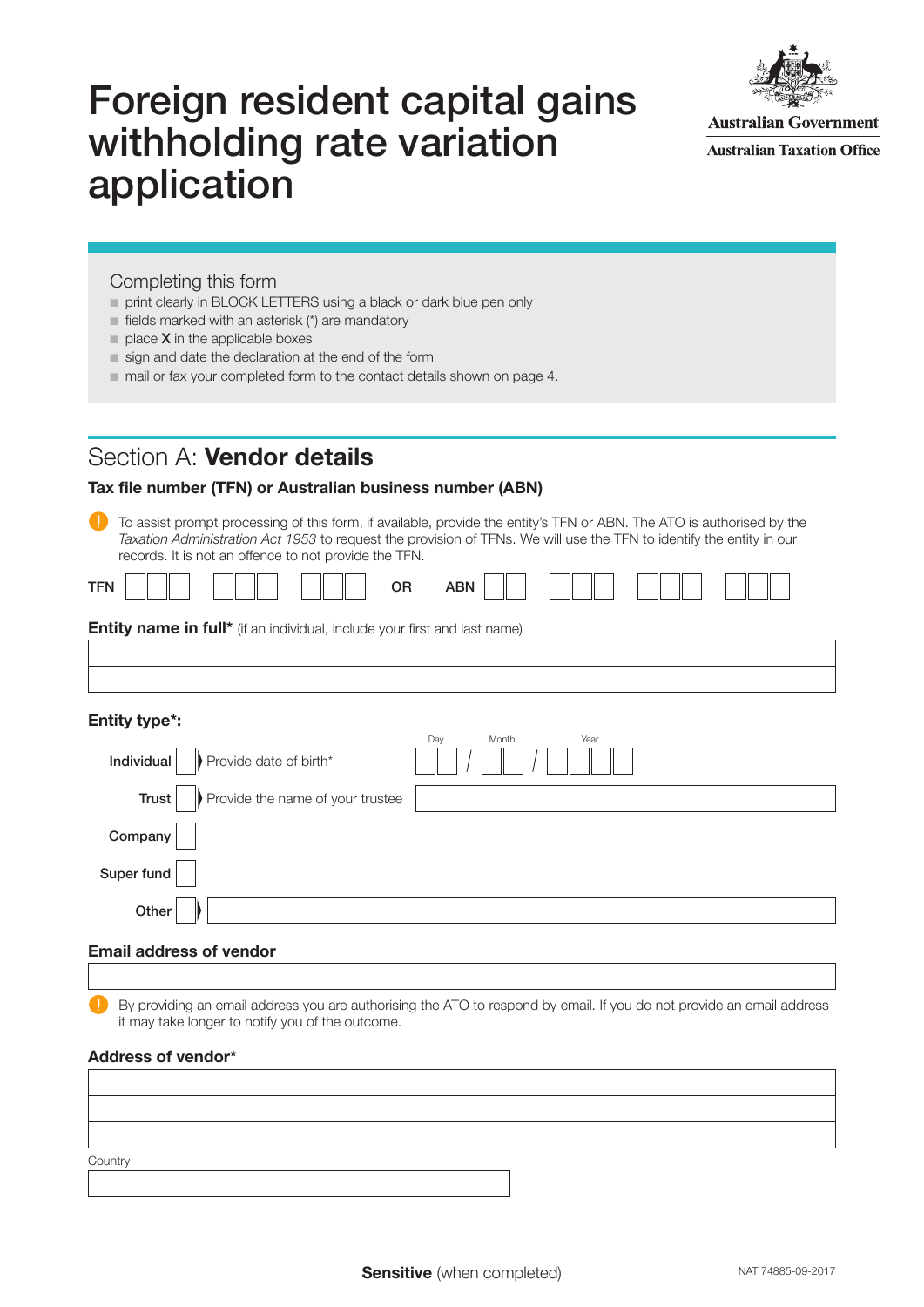# Foreign resident capital gains withholding rate variation application



**Australian Government Australian Taxation Office** 

### Completing this form

- print clearly in BLOCK LETTERS using a black or dark blue pen only
- $\blacksquare$  fields marked with an asterisk (\*) are mandatory
- $\blacksquare$  place **X** in the applicable boxes
- sign and date the declaration at the end of the form
- mail or fax your completed form to the contact details shown on page 4.

### Section A: Vendor details

### Tax file number (TFN) or Australian business number (ABN)

To assist prompt processing of this form, if available, provide the entity's TFN or ABN. The ATO is authorised by the Taxation Administration Act 1953 to request the provision of TFNs. We will use the TFN to identify the entity in our records. It is not an offence to not provide the TFN.

| <b>Entity name in full*</b> (if an individual, include your first and last name) |  |  |  |
|----------------------------------------------------------------------------------|--|--|--|

### Entity type\*:

| Provide date of birth*<br>Individual      | Day<br>Month<br>Year |
|-------------------------------------------|----------------------|
| Provide the name of your trustee<br>Trust |                      |
| Company                                   |                      |
| Super fund                                |                      |
| Other                                     |                      |

### Email address of vendor

By providing an email address you are authorising the ATO to respond by email. If you do not provide an email address it may take longer to notify you of the outcome.

### Address of vendor\*

| Country |  |
|---------|--|
|         |  |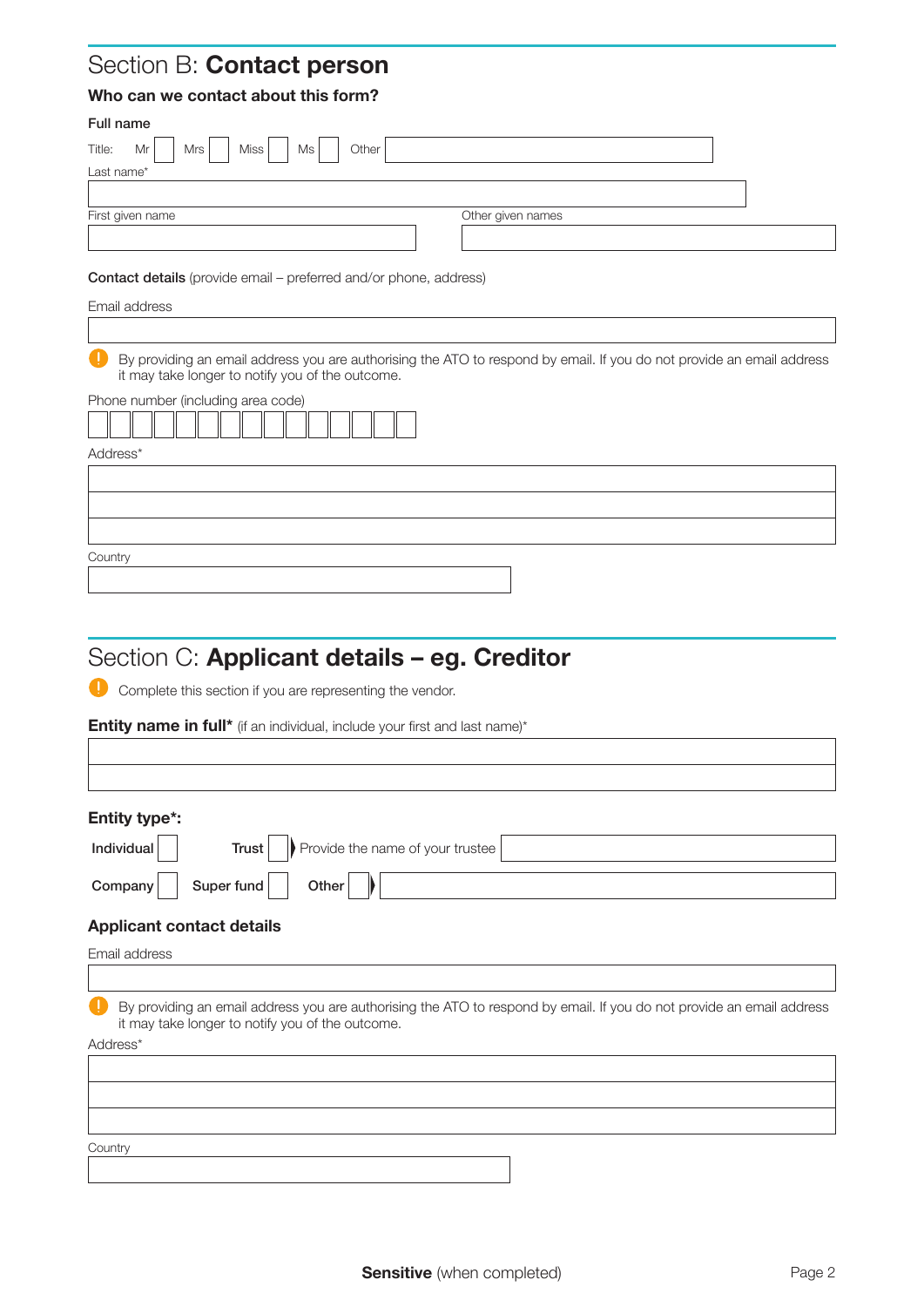## Section B: Contact person

### Who can we contact about this form?

| Full name                                                                |                                                                                                                       |
|--------------------------------------------------------------------------|-----------------------------------------------------------------------------------------------------------------------|
| Mr<br>Other<br>Title:<br>Mrs<br><b>Miss</b><br>Ms                        |                                                                                                                       |
| Last name*                                                               |                                                                                                                       |
|                                                                          |                                                                                                                       |
| First given name                                                         | Other given names                                                                                                     |
|                                                                          |                                                                                                                       |
| <b>Contact details</b> (provide email – preferred and/or phone, address) |                                                                                                                       |
| Email address                                                            |                                                                                                                       |
|                                                                          |                                                                                                                       |
| it may take longer to notify you of the outcome.                         | By providing an email address you are authorising the ATO to respond by email. If you do not provide an email address |
| Phone number (including area code)                                       |                                                                                                                       |
| Address*                                                                 |                                                                                                                       |
|                                                                          |                                                                                                                       |
|                                                                          |                                                                                                                       |
|                                                                          |                                                                                                                       |
|                                                                          |                                                                                                                       |
| Country                                                                  |                                                                                                                       |
|                                                                          |                                                                                                                       |

# Section C: Applicant details - eg. Creditor

**Complete this section if you are representing the vendor.** 

Entity name in full\* (if an individual, include your first and last name)\*

### Entity type\*:

| Individual | <b>Trust</b> $\left  \right $ Provide the name of your trustee |
|------------|----------------------------------------------------------------|
|            | Company   Super fund   Other $\ \cdot\ $                       |
|            | .                                                              |

### Applicant contact details

Address\* Email address By providing an email address you are authorising the ATO to respond by email. If you do not provide an email address it may take longer to notify you of the outcome. **Country**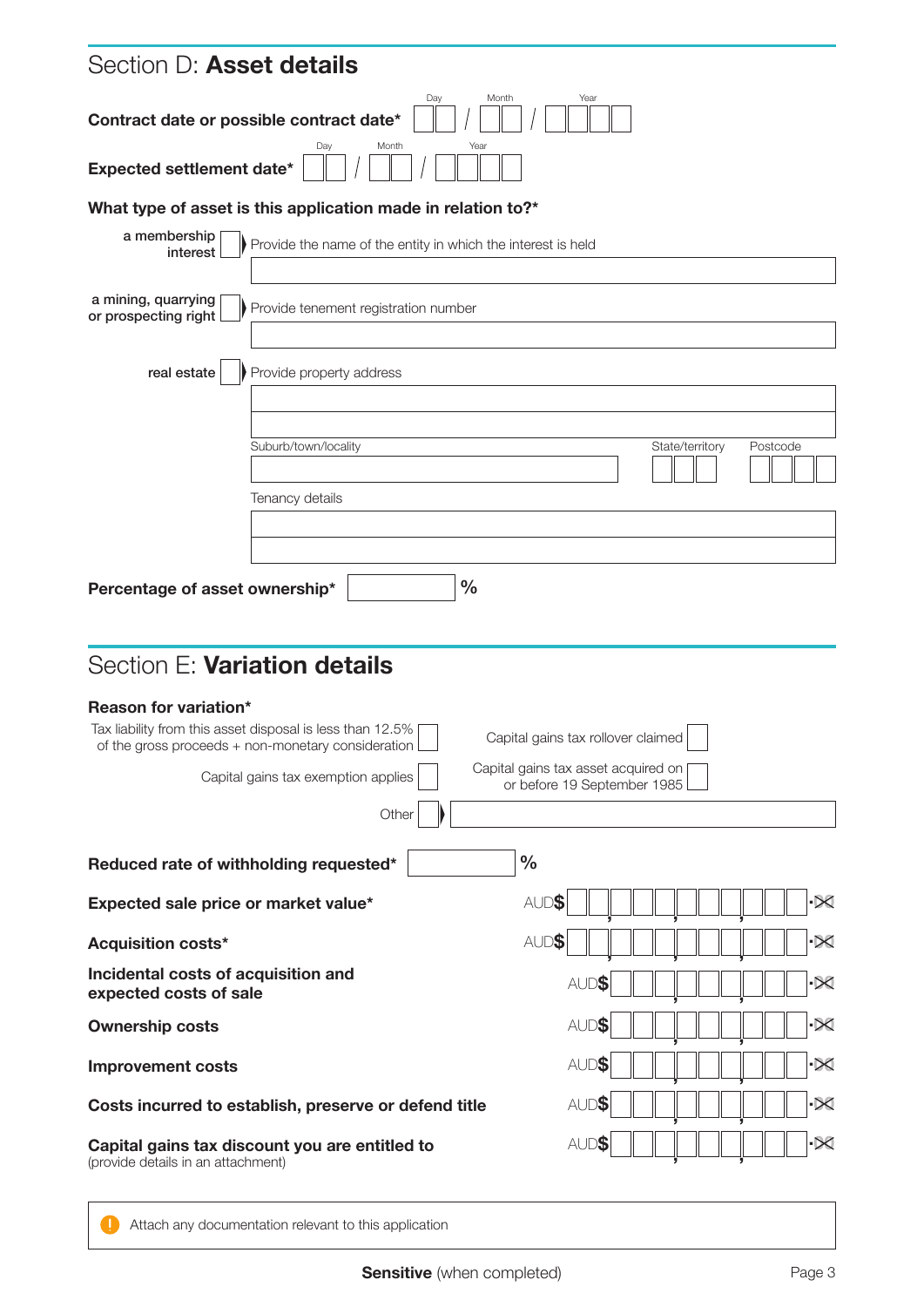| $\overline{\times}$ |
|---------------------|
| $\overline{\times}$ |
| $\propto$           |
| $\propto$           |
| $\overline{\times}$ |
| $\propto$           |
|                     |
| Postcode            |

**Attach any documentation relevant to this application**